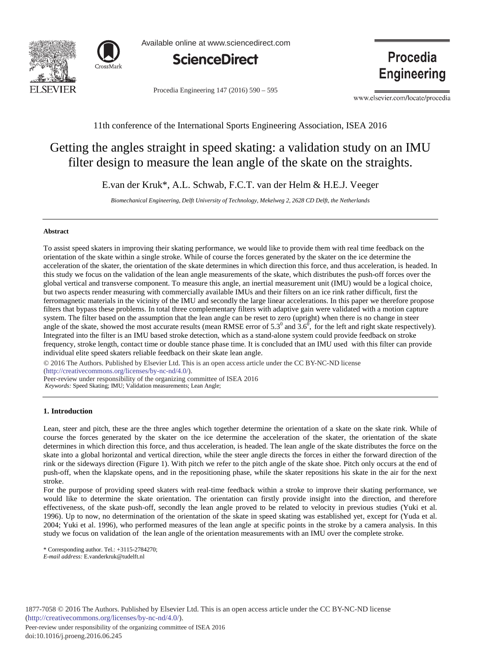



Available online at www.sciencedirect.com



Procedia Engineering 147 (2016) 590 - 595

Procedia **Engineering** 

www.elsevier.com/locate/procedia

## 11th conference of the International Sports Engineering Association, ISEA 2016

# Getting the angles straight in speed skating: a validation study on an IMU filter design to measure the lean angle of the skate on the straights.

E.van der Kruk\*, A.L. Schwab, F.C.T. van der Helm & H.E.J. Veeger

*Biomechanical Engineering, Delft University of Technology, Mekelweg 2, 2628 CD Delft, the Netherlands* 

#### **Abstract**

To assist speed skaters in improving their skating performance, we would like to provide them with real time feedback on the orientation of the skate within a single stroke. While of course the forces generated by the skater on the ice determine the acceleration of the skater, the orientation of the skate determines in which direction this force, and thus acceleration, is headed. In this study we focus on the validation of the lean angle measurements of the skate, which distributes the push-off forces over the global vertical and transverse component. To measure this angle, an inertial measurement unit (IMU) would be a logical choice, but two aspects render measuring with commercially available IMUs and their filters on an ice rink rather difficult, first the ferromagnetic materials in the vicinity of the IMU and secondly the large linear accelerations. In this paper we therefore propose filters that bypass these problems. In total three complementary filters with adaptive gain were validated with a motion capture system. The filter based on the assumption that the lean angle can be reset to zero (upright) when there is no change in steer angle of the skate, showed the most accurate results (mean RMSE error of  $5.3^\circ$  and  $3.6^\circ$ , for the left and right skate respectively). Integrated into the filter is an IMU based stroke detection, which as a stand-alone system could provide feedback on stroke frequency, stroke length, contact time or double stance phase time. It is concluded that an IMU used with this filter can provide individual elite speed skaters reliable feedback on their skate lean angle.

(http://creativecommons.org/licenses/by-nc-nd/4.0/). © 2016 The Authors. Published by Elsevier Ltd. This is an open access article under the CC BY-NC-ND license

Peer-review under responsibility of the organizing committee of ISEA 2016 Peer-review under responsibility of the organizing committee of ISEA 2016*Keywords:* Speed Skating; IMU; Validation measurements; Lean Angle;

## **1. Introduction**

Lean, steer and pitch, these are the three angles which together determine the orientation of a skate on the skate rink. While of course the forces generated by the skater on the ice determine the acceleration of the skater, the orientation of the skate determines in which direction this force, and thus acceleration, is headed. The lean angle of the skate distributes the force on the skate into a global horizontal and vertical direction, while the steer angle directs the forces in either the forward direction of the rink or the sideways direction (Figure 1). With pitch we refer to the pitch angle of the skate shoe. Pitch only occurs at the end of push-off, when the klapskate opens, and in the repositioning phase, while the skater repositions his skate in the air for the next stroke.

For the purpose of providing speed skaters with real-time feedback within a stroke to improve their skating performance, we would like to determine the skate orientation. The orientation can firstly provide insight into the direction, and therefore effectiveness, of the skate push-off, secondly the lean angle proved to be related to velocity in previous studies (Yuki et al. 1996). Up to now, no determination of the orientation of the skate in speed skating was established yet, except for (Yuda et al. 2004; Yuki et al. 1996), who performed measures of the lean angle at specific points in the stroke by a camera analysis. In this study we focus on validation of the lean angle of the orientation measurements with an IMU over the complete stroke.

\* Corresponding author. Tel.: +3115-2784270;

*E-mail address:* E.vanderkruk@tudelft.nl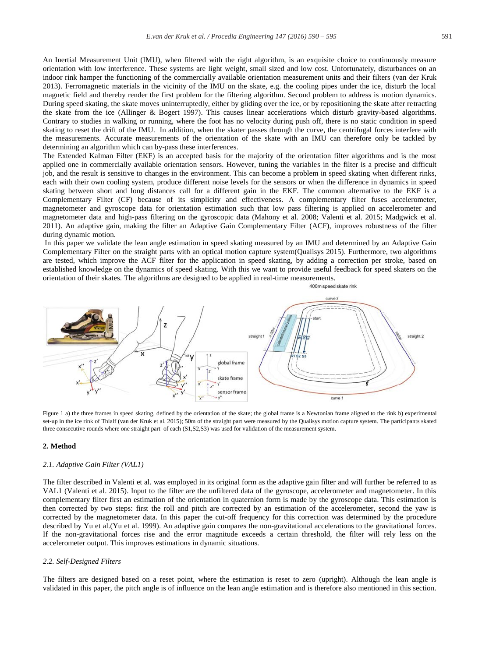An Inertial Measurement Unit (IMU), when filtered with the right algorithm, is an exquisite choice to continuously measure orientation with low interference. These systems are light weight, small sized and low cost. Unfortunately, disturbances on an indoor rink hamper the functioning of the commercially available orientation measurement units and their filters (van der Kruk 2013). Ferromagnetic materials in the vicinity of the IMU on the skate, e.g. the cooling pipes under the ice, disturb the local magnetic field and thereby render the first problem for the filtering algorithm. Second problem to address is motion dynamics. During speed skating, the skate moves uninterruptedly, either by gliding over the ice, or by repositioning the skate after retracting the skate from the ice (Allinger & Bogert 1997). This causes linear accelerations which disturb gravity-based algorithms. Contrary to studies in walking or running, where the foot has no velocity during push off, there is no static condition in speed skating to reset the drift of the IMU. In addition, when the skater passes through the curve, the centrifugal forces interfere with the measurements. Accurate measurements of the orientation of the skate with an IMU can therefore only be tackled by determining an algorithm which can by-pass these interferences.

The Extended Kalman Filter (EKF) is an accepted basis for the majority of the orientation filter algorithms and is the most applied one in commercially available orientation sensors. However, tuning the variables in the filter is a precise and difficult job, and the result is sensitive to changes in the environment. This can become a problem in speed skating when different rinks, each with their own cooling system, produce different noise levels for the sensors or when the difference in dynamics in speed skating between short and long distances call for a different gain in the EKF. The common alternative to the EKF is a Complementary Filter (CF) because of its simplicity and effectiveness. A complementary filter fuses accelerometer, magnetometer and gyroscope data for orientation estimation such that low pass filtering is applied on accelerometer and magnetometer data and high-pass filtering on the gyroscopic data (Mahony et al. 2008; Valenti et al. 2015; Madgwick et al. 2011). An adaptive gain, making the filter an Adaptive Gain Complementary Filter (ACF), improves robustness of the filter during dynamic motion.

In this paper we validate the lean angle estimation in speed skating measured by an IMU and determined by an Adaptive Gain Complementary Filter on the straight parts with an optical motion capture system(Qualisys 2015). Furthermore, two algorithms are tested, which improve the ACF filter for the application in speed skating, by adding a correction per stroke, based on established knowledge on the dynamics of speed skating. With this we want to provide useful feedback for speed skaters on the orientation of their skates. The algorithms are designed to be applied in real-time measurements.



Figure 1 a) the three frames in speed skating, defined by the orientation of the skate; the global frame is a Newtonian frame aligned to the rink b) experimental set-up in the ice rink of Thialf (van der Kruk et al. 2015); 50m of the straight part were measured by the Qualisys motion capture system. The participants skated three consecutive rounds where one straight part of each (S1,S2,S3) was used for validation of the measurement system.

#### **2. Method**

#### *2.1. Adaptive Gain Filter (VAL1)*

The filter described in Valenti et al. was employed in its original form as the adaptive gain filter and will further be referred to as VAL1 (Valenti et al. 2015). Input to the filter are the unfiltered data of the gyroscope, accelerometer and magnetometer. In this complementary filter first an estimation of the orientation in quaternion form is made by the gyroscope data. This estimation is then corrected by two steps: first the roll and pitch are corrected by an estimation of the accelerometer, second the yaw is corrected by the magnetometer data. In this paper the cut-off frequency for this correction was determined by the procedure described by Yu et al.(Yu et al. 1999). An adaptive gain compares the non-gravitational accelerations to the gravitational forces. If the non-gravitational forces rise and the error magnitude exceeds a certain threshold, the filter will rely less on the accelerometer output. This improves estimations in dynamic situations.

#### *2.2. Self-Designed Filters*

The filters are designed based on a reset point, where the estimation is reset to zero (upright). Although the lean angle is validated in this paper, the pitch angle is of influence on the lean angle estimation and is therefore also mentioned in this section.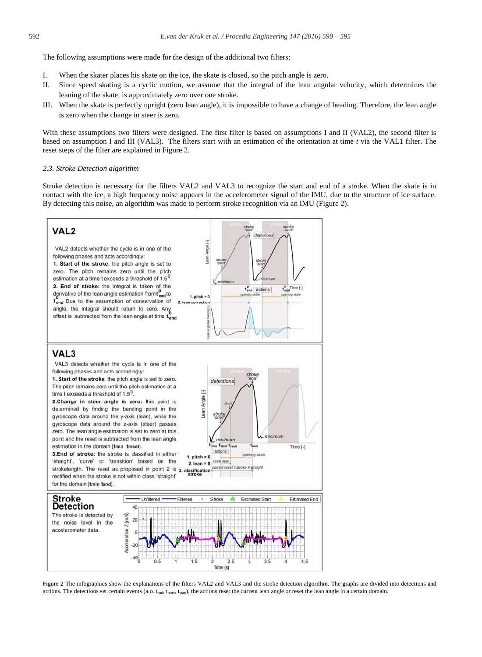The following assumptions were made for the design of the additional two filters:

- I. When the skater places his skate on the ice, the skate is closed, so the pitch angle is zero.
- II. Since speed skating is a cyclic motion, we assume that the integral of the lean angular velocity, which determines the leaning of the skate, is approximately zero over one stroke.
- III. When the skate is perfectly upright (zero lean angle), it is impossible to have a change of heading. Therefore, the lean angle is zero when the change in steer is zero.

With these assumptions two filters were designed. The first filter is based on assumptions I and II (VAL2), the second filter is based on assumption I and III (VAL3). The filters start with an estimation of the orientation at time *t* via the VAL1 filter. The reset steps of the filter are explained in Figure 2.

#### *2.3. Stroke Detection algorithm*

Stroke detection is necessary for the filters VAL2 and VAL3 to recognize the start and end of a stroke. When the skate is in contact with the ice, a high frequency noise appears in the accelerometer signal of the IMU, due to the structure of ice surface. By detecting this noise, an algorithm was made to perform stroke recognition via an IMU (Figure 2).



Figure 2 The infographics show the explanations of the filters VAL2 and VAL3 and the stroke detection algorithm. The graphs are divided into detections and actions. The detections set certain events (a.o.  $t_{\text{end}}$ ,  $t_{\text{read}}$ ,  $t_{\text{exact}}$ , t<sub>reset</sub>,  $t_{\text{start}}$ ), the actions reset the current lean angle or reset the lean angle in a certain domain.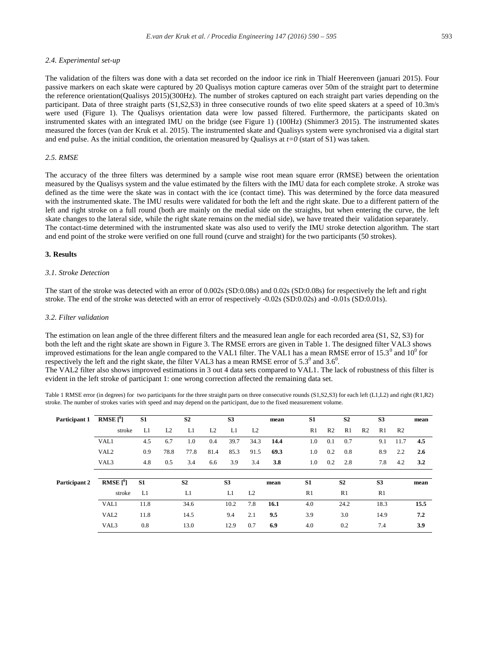#### *2.4. Experimental set-up*

The validation of the filters was done with a data set recorded on the indoor ice rink in Thialf Heerenveen (januari 2015). Four passive markers on each skate were captured by 20 Qualisys motion capture cameras over 50m of the straight part to determine the reference orientation(Qualisys 2015)(300Hz). The number of strokes captured on each straight part varies depending on the participant. Data of three straight parts (S1,S2,S3) in three consecutive rounds of two elite speed skaters at a speed of 10.3m/s were used (Figure 1). The Qualisys orientation data were low passed filtered. Furthermore, the participants skated on instrumented skates with an integrated IMU on the bridge (see Figure 1) (100Hz) (Shimmer3 2015). The instrumented skates measured the forces (van der Kruk et al. 2015). The instrumented skate and Qualisys system were synchronised via a digital start and end pulse. As the initial condition, the orientation measured by Qualisys at  $t=0$  (start of S1) was taken.

#### *2.5. RMSE*

The accuracy of the three filters was determined by a sample wise root mean square error (RMSE) between the orientation measured by the Qualisys system and the value estimated by the filters with the IMU data for each complete stroke. A stroke was defined as the time were the skate was in contact with the ice (contact time). This was determined by the force data measured with the instrumented skate. The IMU results were validated for both the left and the right skate. Due to a different pattern of the left and right stroke on a full round (both are mainly on the medial side on the straights, but when entering the curve, the left skate changes to the lateral side, while the right skate remains on the medial side), we have treated their validation separately. The contact-time determined with the instrumented skate was also used to verify the IMU stroke detection algorithm. The start and end point of the stroke were verified on one full round (curve and straight) for the two participants (50 strokes).

#### **3. Results**

## *3.1. Stroke Detection*

The start of the stroke was detected with an error of 0.002s (SD:0.08s) and 0.02s (SD:0.08s) for respectively the left and right stroke. The end of the stroke was detected with an error of respectively -0.02s (SD:0.02s) and -0.01s (SD:0.01s).

#### *3.2. Filter validation*

The estimation on lean angle of the three different filters and the measured lean angle for each recorded area (S1, S2, S3) for both the left and the right skate are shown in Figure 3. The RMSE errors are given in Table 1. The designed filter VAL3 shows improved estimations for the lean angle compared to the VAL1 filter. The VAL1 has a mean RMSE error of  $15.3^{\circ}$  and  $10^{\circ}$  for respectively the left and the right skate, the filter VAL3 has a mean RMSE error of  $5.3^{\circ}$  and  $3.6^{\circ}$ . The VAL2 filter also shows improved estimations in 3 out 4 data sets compared to VAL1. The lack of robustness of this filter is

evident in the left stroke of participant 1: one wrong correction affected the remaining data set.

Table 1 RMSE error (in degrees) for two participants for the three straight parts on three consecutive rounds (S1,S2,S3) for each left (L1,L2) and right (R1,R2) stroke. The number of strokes varies with speed and may depend on the participant, due to the fixed measurement volume.

| Participant 1 | <b>RMSE</b> $[^0]$ | S <sub>1</sub> | S <sub>2</sub> |                | S <sub>3</sub> |                | mean           |      | S <sub>1</sub> | S <sub>2</sub> |                | S <sub>3</sub> |                |                | mean             |
|---------------|--------------------|----------------|----------------|----------------|----------------|----------------|----------------|------|----------------|----------------|----------------|----------------|----------------|----------------|------------------|
|               | stroke             | L1             | L2             | L1             | L2             | L1             | L2             |      | R <sub>1</sub> | R <sub>2</sub> | R1             | R <sub>2</sub> | R1             | R <sub>2</sub> |                  |
|               | VAL1               | 4.5            | 6.7            | 1.0            | 0.4            | 39.7           | 34.3           | 14.4 | 1.0            | 0.1            | 0.7            |                | 9.1            | 11.7           | 4.5              |
|               | VAL <sub>2</sub>   | 0.9            | 78.8           | 77.8           | 81.4           | 85.3           | 91.5           | 69.3 | 1.0            | 0.2            | 0.8            |                | 8.9            | 2.2            | $2.6\phantom{0}$ |
|               | VAL3               | 4.8            | 0.5            | 3.4            | 6.6            | 3.9            | 3.4            | 3.8  | 1.0            | 0.2            | 2.8            |                | 7.8            | 4.2            | 3.2              |
|               |                    |                |                |                |                |                |                |      |                |                |                |                |                |                |                  |
| Participant 2 | <b>RMSE</b> $[^0]$ | S <sub>1</sub> |                | S <sub>2</sub> |                | S <sub>3</sub> |                | mean | S1             | S <sub>2</sub> |                |                | S <sub>3</sub> |                | mean             |
|               | stroke             | L1             |                | L1             |                | L1             | L <sub>2</sub> |      | R1             |                | R <sub>1</sub> |                | R1             |                |                  |
|               | VAL1               | 11.8           |                | 34.6           |                | 10.2           | 7.8            | 16.1 | 4.0            |                | 24.2           |                | 18.3           |                | 15.5             |
|               | VAL <sub>2</sub>   | 11.8           |                | 14.5           |                | 9.4            | 2.1            | 9.5  | 3.9            |                | 3.0            |                | 14.9           |                | 7.2              |
|               | VAL3               | 0.8            |                | 13.0           |                | 12.9           | 0.7            | 6.9  | 4.0            |                | 0.2            |                | 7.4            |                | 3.9              |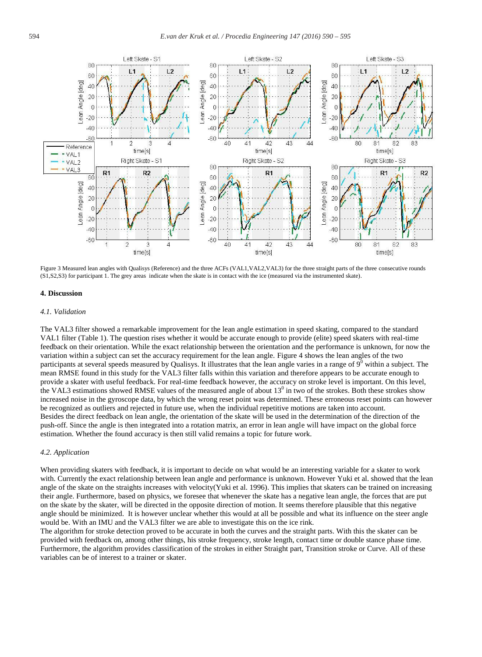

Figure 3 Measured lean angles with Qualisys (Reference) and the three ACFs (VAL1,VAL2,VAL3) for the three straight parts of the three consecutive rounds (S1,S2,S3) for participant 1. The grey areas indicate when the skate is in contact with the ice (measured via the instrumented skate).

#### **4. Discussion**

#### *4.1. Validation*

The VAL3 filter showed a remarkable improvement for the lean angle estimation in speed skating, compared to the standard VAL1 filter (Table 1). The question rises whether it would be accurate enough to provide (elite) speed skaters with real-time feedback on their orientation. While the exact relationship between the orientation and the performance is unknown, for now the variation within a subject can set the accuracy requirement for the lean angle. Figure 4 shows the lean angles of the two participants at several speeds measured by Qualisys. It illustrates that the lean angle varies in a range of  $9<sup>0</sup>$  within a subject. The mean RMSE found in this study for the VAL3 filter falls within this variation and therefore appears to be accurate enough to provide a skater with useful feedback. For real-time feedback however, the accuracy on stroke level is important. On this level, the VAL3 estimations showed RMSE values of the measured angle of about  $13<sup>0</sup>$  in two of the strokes. Both these strokes show increased noise in the gyroscope data, by which the wrong reset point was determined. These erroneous reset points can however be recognized as outliers and rejected in future use, when the individual repetitive motions are taken into account. Besides the direct feedback on lean angle, the orientation of the skate will be used in the determination of the direction of the push-off. Since the angle is then integrated into a rotation matrix, an error in lean angle will have impact on the global force estimation. Whether the found accuracy is then still valid remains a topic for future work.

#### *4.2. Application*

When providing skaters with feedback, it is important to decide on what would be an interesting variable for a skater to work with. Currently the exact relationship between lean angle and performance is unknown. However Yuki et al. showed that the lean angle of the skate on the straights increases with velocity(Yuki et al. 1996). This implies that skaters can be trained on increasing their angle. Furthermore, based on physics, we foresee that whenever the skate has a negative lean angle, the forces that are put on the skate by the skater, will be directed in the opposite direction of motion. It seems therefore plausible that this negative angle should be minimized. It is however unclear whether this would at all be possible and what its influence on the steer angle would be. With an IMU and the VAL3 filter we are able to investigate this on the ice rink.

The algorithm for stroke detection proved to be accurate in both the curves and the straight parts. With this the skater can be provided with feedback on, among other things, his stroke frequency, stroke length, contact time or double stance phase time. Furthermore, the algorithm provides classification of the strokes in either Straight part, Transition stroke or Curve. All of these variables can be of interest to a trainer or skater.